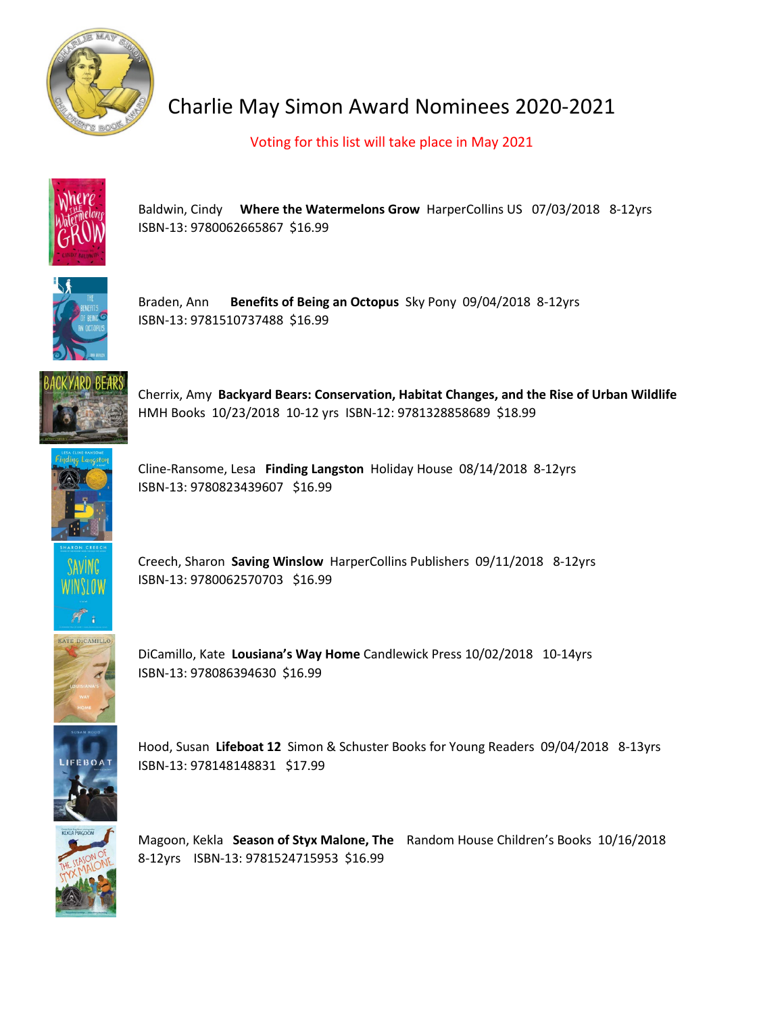

## Charlie May Simon Award Nominees 2020-2021

Voting for this list will take place in May 2021



Baldwin, Cindy **Where the Watermelons Grow** HarperCollins US 07/03/2018 8-12yrs ISBN-13: 9780062665867 \$16.99



Braden, Ann **Benefits of Being an Octopus** Sky Pony 09/04/2018 8-12yrs ISBN-13: 9781510737488 \$16.99



Cherrix, Amy **Backyard Bears: Conservation, Habitat Changes, and the Rise of Urban Wildlife** HMH Books 10/23/2018 10-12 yrs ISBN-12: 9781328858689 \$18.99



Cline-Ransome, Lesa **Finding Langston** Holiday House 08/14/2018 8-12yrs ISBN-13: 9780823439607 \$16.99



Creech, Sharon **Saving Winslow** HarperCollins Publishers 09/11/2018 8-12yrs ISBN-13: 9780062570703 \$16.99



DiCamillo, Kate **Lousiana's Way Home** Candlewick Press 10/02/2018 10-14yrs ISBN-13: 978086394630 \$16.99



Hood, Susan **Lifeboat 12** Simon & Schuster Books for Young Readers 09/04/2018 8-13yrs ISBN-13: 978148148831 \$17.99



Magoon, Kekla **Season of Styx Malone, The** Random House Children's Books 10/16/2018 8-12yrs ISBN-13: 9781524715953 \$16.99